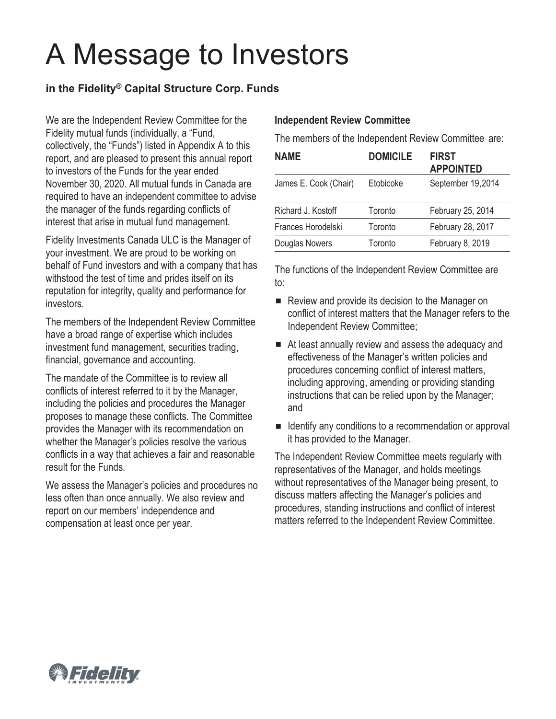# A Message to Investors

# **in the Fidelity® Capital Structure Corp. Funds**

We are the Independent Review Committee for the Fidelity mutual funds (individually, a "Fund, collectively, the "Funds") listed in Appendix A to this report, and are pleased to present this annual report to investors of the Funds for the year ended November 30, 2020. All mutual funds in Canada are required to have an independent committee to advise the manager of the funds regarding conflicts of interest that arise in mutual fund management.

Fidelity Investments Canada ULC is the Manager of your investment. We are proud to be working on behalf of Fund investors and with a company that has withstood the test of time and prides itself on its reputation for integrity, quality and performance for investors.

The members of the Independent Review Committee have a broad range of expertise which includes investment fund management, securities trading, financial, governance and accounting.

The mandate of the Committee is to review all conflicts of interest referred to it by the Manager, including the policies and procedures the Manager proposes to manage these conflicts. The Committee provides the Manager with its recommendation on whether the Manager's policies resolve the various conflicts in a way that achieves a fair and reasonable result for the Funds.

We assess the Manager's policies and procedures no less often than once annually. We also review and report on our members' independence and compensation at least once per year.

#### **Independent Review Committee**

The members of the Independent Review Committee are:

| <b>NAME</b>           | <b>DOMICILE</b> | <b>FIRST</b><br><b>APPOINTED</b> |
|-----------------------|-----------------|----------------------------------|
| James E. Cook (Chair) | Etobicoke       | September 19,2014                |
| Richard J. Kostoff    | Toronto         | February 25, 2014                |
| Frances Horodelski    | Toronto         | February 28, 2017                |
| Douglas Nowers        | Toronto         | February 8, 2019                 |

The functions of the Independent Review Committee are to:

- Review and provide its decision to the Manager on conflict of interest matters that the Manager refers to the Independent Review Committee;
- At least annually review and assess the adequacy and effectiveness of the Manager's written policies and procedures concerning conflict of interest matters, including approving, amending or providing standing instructions that can be relied upon by the Manager; and
- Identify any conditions to a recommendation or approval it has provided to the Manager.

The Independent Review Committee meets regularly with representatives of the Manager, and holds meetings without representatives of the Manager being present, to discuss matters affecting the Manager's policies and procedures, standing instructions and conflict of interest matters referred to the Independent Review Committee.

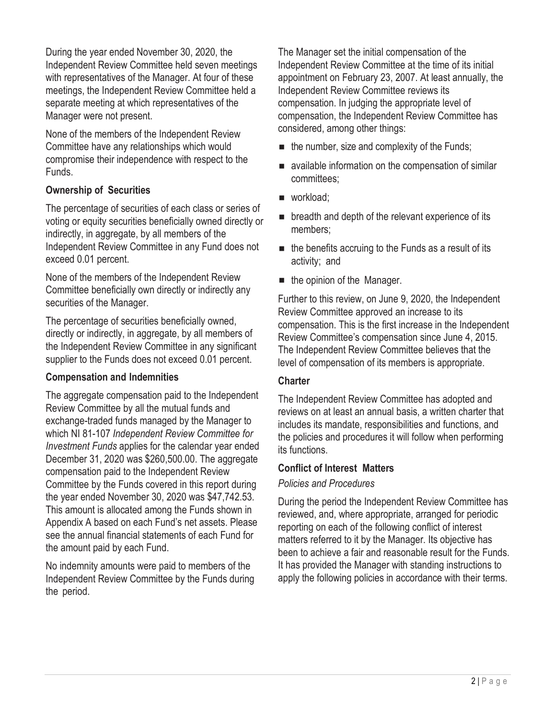During the year ended November 30, 2020, the Independent Review Committee held seven meetings with representatives of the Manager. At four of these meetings, the Independent Review Committee held a separate meeting at which representatives of the Manager were not present.

None of the members of the Independent Review Committee have any relationships which would compromise their independence with respect to the Funds.

# **Ownership of Securities**

The percentage of securities of each class or series of voting or equity securities beneficially owned directly or indirectly, in aggregate, by all members of the Independent Review Committee in any Fund does not exceed 0.01 percent.

None of the members of the Independent Review Committee beneficially own directly or indirectly any securities of the Manager.

The percentage of securities beneficially owned, directly or indirectly, in aggregate, by all members of the Independent Review Committee in any significant supplier to the Funds does not exceed 0.01 percent.

## **Compensation and Indemnities**

The aggregate compensation paid to the Independent Review Committee by all the mutual funds and exchange-traded funds managed by the Manager to which NI 81-107 *Independent Review Committee for Investment Funds* applies for the calendar year ended December 31, 2020 was \$260,500.00. The aggregate compensation paid to the Independent Review Committee by the Funds covered in this report during the year ended November 30, 2020 was \$47,742.53. This amount is allocated among the Funds shown in Appendix A based on each Fund's net assets. Please see the annual financial statements of each Fund for the amount paid by each Fund.

No indemnity amounts were paid to members of the Independent Review Committee by the Funds during the period.

The Manager set the initial compensation of the Independent Review Committee at the time of its initial appointment on February 23, 2007. At least annually, the Independent Review Committee reviews its compensation. In judging the appropriate level of compensation, the Independent Review Committee has considered, among other things:

- $\blacksquare$  the number, size and complexity of the Funds;
- available information on the compensation of similar committees;
- workload;
- **p** breadth and depth of the relevant experience of its members;
- $\blacksquare$  the benefits accruing to the Funds as a result of its activity; and
- $\blacksquare$  the opinion of the Manager.

Further to this review, on June 9, 2020, the Independent Review Committee approved an increase to its compensation. This is the first increase in the Independent Review Committee's compensation since June 4, 2015. The Independent Review Committee believes that the level of compensation of its members is appropriate.

## **Charter**

The Independent Review Committee has adopted and reviews on at least an annual basis, a written charter that includes its mandate, responsibilities and functions, and the policies and procedures it will follow when performing its functions.

# **Conflict of Interest Matters**

# *Policies and Procedures*

During the period the Independent Review Committee has reviewed, and, where appropriate, arranged for periodic reporting on each of the following conflict of interest matters referred to it by the Manager. Its objective has been to achieve a fair and reasonable result for the Funds. It has provided the Manager with standing instructions to apply the following policies in accordance with their terms.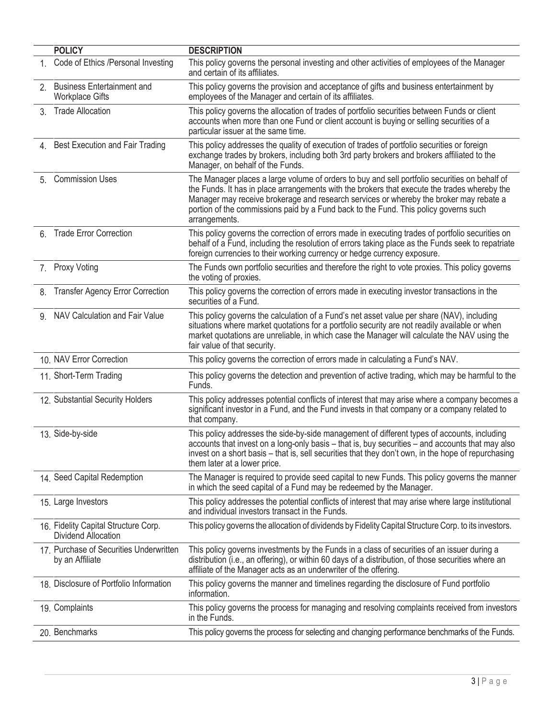| <b>POLICY</b>                                               | <b>DESCRIPTION</b>                                                                                                                                                                                                                                                                                                                                                                               |
|-------------------------------------------------------------|--------------------------------------------------------------------------------------------------------------------------------------------------------------------------------------------------------------------------------------------------------------------------------------------------------------------------------------------------------------------------------------------------|
| 1. Code of Ethics /Personal Investing                       | This policy governs the personal investing and other activities of employees of the Manager<br>and certain of its affiliates.                                                                                                                                                                                                                                                                    |
| 2. Business Entertainment and<br><b>Workplace Gifts</b>     | This policy governs the provision and acceptance of gifts and business entertainment by<br>employees of the Manager and certain of its affiliates.                                                                                                                                                                                                                                               |
| 3. Trade Allocation                                         | This policy governs the allocation of trades of portfolio securities between Funds or client<br>accounts when more than one Fund or client account is buying or selling securities of a<br>particular issuer at the same time.                                                                                                                                                                   |
| 4. Best Execution and Fair Trading                          | This policy addresses the quality of execution of trades of portfolio securities or foreign<br>exchange trades by brokers, including both 3rd party brokers and brokers affiliated to the<br>Manager, on behalf of the Funds.                                                                                                                                                                    |
| 5. Commission Uses                                          | The Manager places a large volume of orders to buy and sell portfolio securities on behalf of<br>the Funds. It has in place arrangements with the brokers that execute the trades whereby the<br>Manager may receive brokerage and research services or whereby the broker may rebate a<br>portion of the commissions paid by a Fund back to the Fund. This policy governs such<br>arrangements. |
| 6. Trade Error Correction                                   | This policy governs the correction of errors made in executing trades of portfolio securities on<br>behalf of a Fund, including the resolution of errors taking place as the Funds seek to repatriate<br>foreign currencies to their working currency or hedge currency exposure.                                                                                                                |
| 7. Proxy Voting                                             | The Funds own portfolio securities and therefore the right to vote proxies. This policy governs<br>the voting of proxies.                                                                                                                                                                                                                                                                        |
| 8. Transfer Agency Error Correction                         | This policy governs the correction of errors made in executing investor transactions in the<br>securities of a Fund.                                                                                                                                                                                                                                                                             |
| 9. NAV Calculation and Fair Value                           | This policy governs the calculation of a Fund's net asset value per share (NAV), including<br>situations where market quotations for a portfolio security are not readily available or when<br>market quotations are unreliable, in which case the Manager will calculate the NAV using the<br>fair value of that security.                                                                      |
| 10. NAV Error Correction                                    | This policy governs the correction of errors made in calculating a Fund's NAV.                                                                                                                                                                                                                                                                                                                   |
| 11. Short-Term Trading                                      | This policy governs the detection and prevention of active trading, which may be harmful to the<br>Funds.                                                                                                                                                                                                                                                                                        |
| 12. Substantial Security Holders                            | This policy addresses potential conflicts of interest that may arise where a company becomes a<br>significant investor in a Fund, and the Fund invests in that company or a company related to<br>that company.                                                                                                                                                                                  |
| 13. Side-by-side                                            | This policy addresses the side-by-side management of different types of accounts, including<br>accounts that invest on a long-only basis - that is, buy securities - and accounts that may also<br>invest on a short basis – that is, sell securities that they don't own, in the hope of repurchasing<br>them later at a lower price.                                                           |
| 14. Seed Capital Redemption                                 | The Manager is required to provide seed capital to new Funds. This policy governs the manner<br>in which the seed capital of a Fund may be redeemed by the Manager.                                                                                                                                                                                                                              |
| 15. Large Investors                                         | This policy addresses the potential conflicts of interest that may arise where large institutional<br>and individual investors transact in the Funds.                                                                                                                                                                                                                                            |
| 16. Fidelity Capital Structure Corp.<br>Dividend Allocation | This policy governs the allocation of dividends by Fidelity Capital Structure Corp. to its investors.                                                                                                                                                                                                                                                                                            |
| 17. Purchase of Securities Underwritten<br>by an Affiliate  | This policy governs investments by the Funds in a class of securities of an issuer during a<br>distribution (i.e., an offering), or within 60 days of a distribution, of those securities where an<br>affiliate of the Manager acts as an underwriter of the offering.                                                                                                                           |
| 18. Disclosure of Portfolio Information                     | This policy governs the manner and timelines regarding the disclosure of Fund portfolio<br>information.                                                                                                                                                                                                                                                                                          |
| 19. Complaints                                              | This policy governs the process for managing and resolving complaints received from investors<br>in the Funds.                                                                                                                                                                                                                                                                                   |
| 20. Benchmarks                                              | This policy governs the process for selecting and changing performance benchmarks of the Funds.                                                                                                                                                                                                                                                                                                  |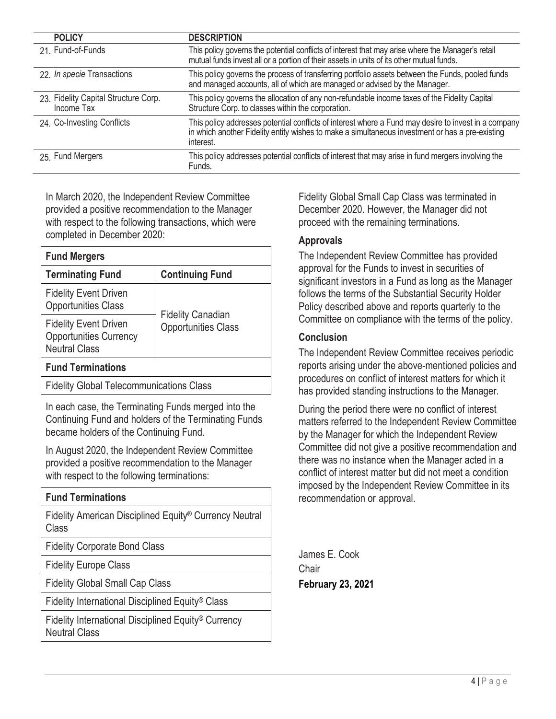| <b>POLICY</b>                                      | <b>DESCRIPTION</b>                                                                                                                                                                                                   |
|----------------------------------------------------|----------------------------------------------------------------------------------------------------------------------------------------------------------------------------------------------------------------------|
| 21. Fund-of-Funds                                  | This policy governs the potential conflicts of interest that may arise where the Manager's retail<br>mutual funds invest all or a portion of their assets in units of its other mutual funds.                        |
| 22. In specie Transactions                         | This policy governs the process of transferring portfolio assets between the Funds, pooled funds<br>and managed accounts, all of which are managed or advised by the Manager.                                        |
| 23. Fidelity Capital Structure Corp.<br>Income Tax | This policy governs the allocation of any non-refundable income taxes of the Fidelity Capital<br>Structure Corp. to classes within the corporation.                                                                  |
| 24. Co-Investing Conflicts                         | This policy addresses potential conflicts of interest where a Fund may desire to invest in a company<br>in which another Fidelity entity wishes to make a simultaneous investment or has a pre-existing<br>interest. |
| 25. Fund Mergers                                   | This policy addresses potential conflicts of interest that may arise in fund mergers involving the<br>Funds.                                                                                                         |

In March 2020, the Independent Review Committee provided a positive recommendation to the Manager with respect to the following transactions, which were completed in December 2020:

| <b>Fund Mergers</b>                                                                   |                                                        |  |  |  |
|---------------------------------------------------------------------------------------|--------------------------------------------------------|--|--|--|
| <b>Terminating Fund</b>                                                               | <b>Continuing Fund</b>                                 |  |  |  |
| <b>Fidelity Event Driven</b><br><b>Opportunities Class</b>                            | <b>Fidelity Canadian</b><br><b>Opportunities Class</b> |  |  |  |
| <b>Fidelity Event Driven</b><br><b>Opportunities Currency</b><br><b>Neutral Class</b> |                                                        |  |  |  |
| <b>Fund Terminations</b>                                                              |                                                        |  |  |  |
| <b>Fidelity Global Telecommunications Class</b>                                       |                                                        |  |  |  |

In each case, the Terminating Funds merged into the Continuing Fund and holders of the Terminating Funds became holders of the Continuing Fund.

In August 2020, the Independent Review Committee provided a positive recommendation to the Manager with respect to the following terminations:

| <b>Fund Terminations</b>                                                                |
|-----------------------------------------------------------------------------------------|
| Fidelity American Disciplined Equity <sup>®</sup> Currency Neutral<br>Class             |
| <b>Fidelity Corporate Bond Class</b>                                                    |
| <b>Fidelity Europe Class</b>                                                            |
| <b>Fidelity Global Small Cap Class</b>                                                  |
| Fidelity International Disciplined Equity <sup>®</sup> Class                            |
| Fidelity International Disciplined Equity <sup>®</sup> Currency<br><b>Neutral Class</b> |

Fidelity Global Small Cap Class was terminated in December 2020. However, the Manager did not proceed with the remaining terminations.

#### **Approvals**

The Independent Review Committee has provided approval for the Funds to invest in securities of significant investors in a Fund as long as the Manager follows the terms of the Substantial Security Holder Policy described above and reports quarterly to the Committee on compliance with the terms of the policy.

## **Conclusion**

The Independent Review Committee receives periodic reports arising under the above-mentioned policies and procedures on conflict of interest matters for which it has provided standing instructions to the Manager.

During the period there were no conflict of interest matters referred to the Independent Review Committee by the Manager for which the Independent Review Committee did not give a positive recommendation and there was no instance when the Manager acted in a conflict of interest matter but did not meet a condition imposed by the Independent Review Committee in its recommendation or approval.

James E. Cook **Chair February 23, 2021**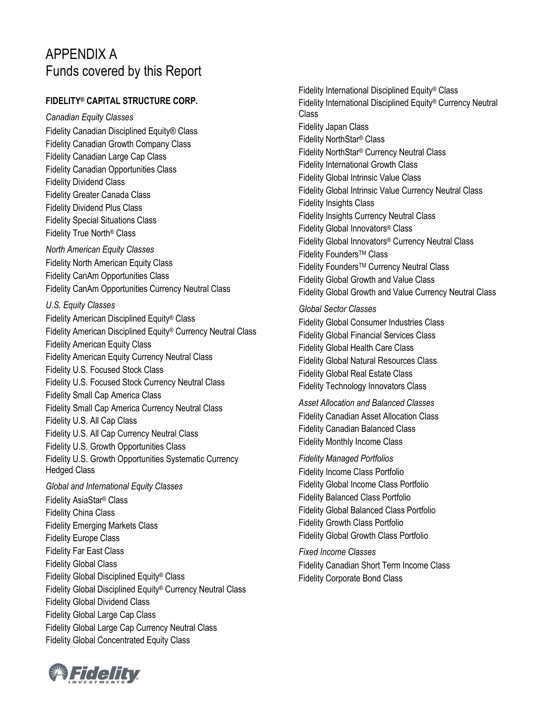# APPENDIX A Funds covered by this Report

#### **FIDELITY® CAPITAL STRUCTURE CORP.**

*Canadian Equity Classes* Fidelity Canadian Disciplined Equity® Class Fidelity Canadian Growth Company Class Fidelity Canadian Large Cap Class Fidelity Canadian Opportunities Class Fidelity Dividend Class Fidelity Greater Canada Class Fidelity Dividend Plus Class Fidelity Special Situations Class Fidelity True North® Class *North American Equity Classes* Fidelity North American Equity Class Fidelity CanAm Opportunities Class Fidelity CanAm Opportunities Currency Neutral Class *U.S. Equity Classes* Fidelity American Disciplined Equity® Class Fidelity American Disciplined Equity® Currency Neutral Class Fidelity American Equity Class Fidelity American Equity Currency Neutral Class Fidelity U.S. Focused Stock Class Fidelity U.S. Focused Stock Currency Neutral Class Fidelity Small Cap America Class Fidelity Small Cap America Currency Neutral Class Fidelity U.S. All Cap Class Fidelity U.S. All Cap Currency Neutral Class Fidelity U.S. Growth Opportunities Class Fidelity U.S. Growth Opportunities Systematic Currency Hedged Class *Global and International Equity Classes* Fidelity AsiaStar® Class Fidelity China Class Fidelity Emerging Markets Class Fidelity Europe Class Fidelity Far East Class Fidelity Global Class Fidelity Global Disciplined Equity® Class Fidelity Global Disciplined Equity® Currency Neutral Class Fidelity Global Dividend Class Fidelity Global Large Cap Class Fidelity Global Large Cap Currency Neutral Class Fidelity Global Concentrated Equity Class



*Global Sector Classes* Fidelity Global Consumer Industries Class Fidelity Global Financial Services Class Fidelity Global Health Care Class Fidelity Global Natural Resources Class Fidelity Global Real Estate Class Fidelity Technology Innovators Class

*Asset Allocation and Balanced Classes* Fidelity Canadian Asset Allocation Class Fidelity Canadian Balanced Class Fidelity Monthly Income Class

*Fidelity Managed Portfolios* Fidelity Income Class Portfolio Fidelity Global Income Class Portfolio Fidelity Balanced Class Portfolio Fidelity Global Balanced Class Portfolio Fidelity Growth Class Portfolio Fidelity Global Growth Class Portfolio

*Fixed Income Classes* Fidelity Canadian Short Term Income Class Fidelity Corporate Bond Class